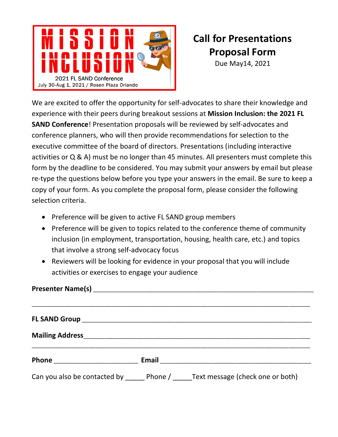

## **Call for Presentations Proposal Form**

Due May14, 2021

We are excited to offer the opportunity for self-advocates to share their knowledge and experience with their peers during breakout sessions at **Mission Inclusion: the 2021 FL SAND Conference**! Presentation proposals will be reviewed by self-advocates and conference planners, who will then provide recommendations for selection to the executive committee of the board of directors. Presentations (including interactive activities or Q & A) must be no longer than 45 minutes. All presenters must complete this form by the deadline to be considered. You may submit your answers by email but please re-type the questions below before you type your answers in the email. Be sure to keep a copy of your form. As you complete the proposal form, please consider the following selection criteria.

- Preference will be given to active FL SAND group members
- Preference will be given to topics related to the conference theme of community inclusion (in employment, transportation, housing, health care, etc.) and topics that involve a strong self-advocacy focus
- Reviewers will be looking for evidence in your proposal that you will include activities or exercises to engage your audience

|  | Email 2008 - 2008 - 2010 - 2010 - 2010 - 2010 - 2011 - 2012 - 2012 - 2013 - 2014 - 2014 - 2014 - 201 |
|--|------------------------------------------------------------------------------------------------------|
|  | Can you also be contacted by Phone / Text message (check one or both)                                |